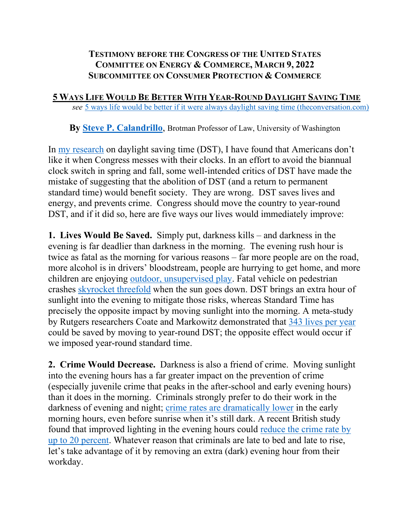## **TESTIMONY BEFORE THE CONGRESS OF THE UNITED STATES COMMITTEE ON ENERGY & COMMERCE, MARCH 9, 2022 SUBCOMMITTEE ON CONSUMER PROTECTION & COMMERCE**

 **5 WAYS LIFE WOULD BE BETTER WITH YEAR-ROUND DAYLIGHT SAVING TIME** *see* [5 ways life would be better if it were always daylight saving time \(theconversation.com\)](https://theconversation.com/5-ways-life-would-be-better-if-it-were-always-daylight-saving-time-111506)

**By [Steve P. Calandrillo](https://www.law.uw.edu/directory/faculty/calandrillo-steve)**, Brotman Professor of Law, University of Washington

In [my research](http://wakeforestlawreview.com/2008/01/time-well-spent-an-economic-analysis-of-daylight-saving-time-legislation/) on daylight saving time (DST), I have found that Americans don't like it when Congress messes with their clocks. In an effort to avoid the biannual clock switch in spring and fall, some well-intended critics of DST have made the mistake of suggesting that the abolition of DST (and a return to permanent standard time) would benefit society. They are wrong. DST saves lives and energy, and prevents crime. Congress should move the country to year-round DST, and if it did so, here are five ways our lives would immediately improve:

**1. Lives Would Be Saved.** Simply put, darkness kills – and darkness in the evening is far deadlier than darkness in the morning. The evening rush hour is twice as fatal as the morning for various reasons – far more people are on the road, more alcohol is in drivers' bloodstream, people are hurrying to get home, and more children are enjoying [outdoor, unsupervised play.](http://commdocs.house.gov/committees/science/hsy73325.000/hsy73325_0.HTM) Fatal vehicle on pedestrian crashes [skyrocket threefold](https://www.ncbi.nlm.nih.gov/pmc/articles/PMC1615292/) when the sun goes down. DST brings an extra hour of sunlight into the evening to mitigate those risks, whereas Standard Time has precisely the opposite impact by moving sunlight into the morning. A meta-study by Rutgers researchers Coate and Markowitz demonstrated that [343 lives per year](https://www.ncbi.nlm.nih.gov/pubmed/15003579) could be saved by moving to year-round DST; the opposite effect would occur if we imposed year-round standard time.

**2. Crime Would Decrease.** Darkness is also a friend of crime. Moving sunlight into the evening hours has a far greater impact on the prevention of crime (especially juvenile crime that peaks in the after-school and early evening hours) than it does in the morning. Criminals strongly prefer to do their work in the darkness of evening and night; [crime rates are dramatically lower](https://www.sciencedirect.com/science/article/pii/S0169207003000931) in the early morning hours, even before sunrise when it's still dark. A recent British study found that improved lighting in the evening hours could reduce the crime rate by [up to 20 percent.](http://library.college.police.uk/docs/what-works/What-works-briefing-improved-street-lighting-2013.pdf) Whatever reason that criminals are late to bed and late to rise, let's take advantage of it by removing an extra (dark) evening hour from their workday.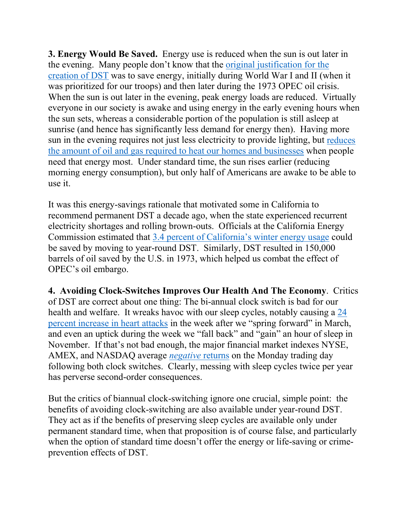**3. Energy Would Be Saved.** Energy use is reduced when the sun is out later in the evening. Many people don't know that the [original justification for the](http://wakeforestlawreview.com/2008/01/time-well-spent-an-economic-analysis-of-daylight-saving-time-legislation/)  [creation of DST](http://wakeforestlawreview.com/2008/01/time-well-spent-an-economic-analysis-of-daylight-saving-time-legislation/) was to save energy, initially during World War I and II (when it was prioritized for our troops) and then later during the 1973 OPEC oil crisis. When the sun is out later in the evening, peak energy loads are reduced. Virtually everyone in our society is awake and using energy in the early evening hours when the sun sets, whereas a considerable portion of the population is still asleep at sunrise (and hence has significantly less demand for energy then). Having more sun in the evening requires not just less electricity to provide lighting, but [reduces](https://www.energy.ca.gov/reports/2001-05-23_400-01-013.PDF)  [the amount of oil and gas required to heat our homes and businesses](https://www.energy.ca.gov/reports/2001-05-23_400-01-013.PDF) when people need that energy most. Under standard time, the sun rises earlier (reducing morning energy consumption), but only half of Americans are awake to be able to use it.

It was this energy-savings rationale that motivated some in California to recommend permanent DST a decade ago, when the state experienced recurrent electricity shortages and rolling brown-outs. Officials at the California Energy Commission estimated that 3.4 percent of California's [winter energy usage](https://www.energy.ca.gov/reports/2001-05-23_400-01-013.PDF) could be saved by moving to year-round DST. Similarly, DST resulted in 150,000 barrels of oil saved by the U.S. in 1973, which helped us combat the effect of OPEC's oil embargo.

**4. Avoiding Clock-Switches Improves Our Health And The Economy**. Critics of DST are correct about one thing: The bi-annual clock switch is bad for our health and welfare. It wreaks havoc with our sleep cycles, notably causing a [24](https://healthblog.uofmhealth.org/heart-health/why-daylight-saving-time-could-increase-your-heart-attack-risk) percent [increase in heart attacks](https://healthblog.uofmhealth.org/heart-health/why-daylight-saving-time-could-increase-your-heart-attack-risk) in the week after we "spring forward" in March, and even an uptick during the week we "fall back" and "gain" an hour of sleep in November. If that's not bad enough, the major financial market indexes NYSE, AMEX, and NASDAQ average *[negative](https://www.jstor.org/stable/117321?seq=1#metadata_info_tab_contents)* returns on the Monday trading day following both clock switches. Clearly, messing with sleep cycles twice per year has perverse second-order consequences.

But the critics of biannual clock-switching ignore one crucial, simple point: the benefits of avoiding clock-switching are also available under year-round DST. They act as if the benefits of preserving sleep cycles are available only under permanent standard time, when that proposition is of course false, and particularly when the option of standard time doesn't offer the energy or life-saving or crimeprevention effects of DST.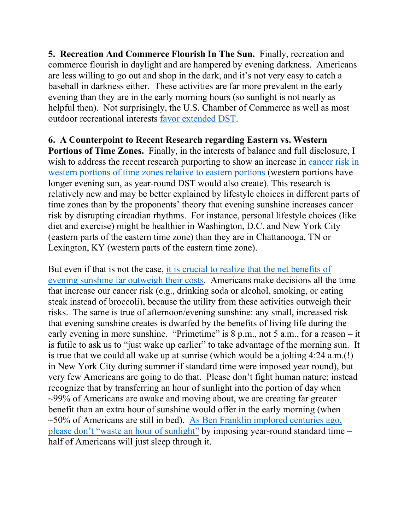**5. Recreation And Commerce Flourish In The Sun.** Finally, recreation and commerce flourish in daylight and are hampered by evening darkness. Americans are less willing to go out and shop in the dark, and it's not very easy to catch a baseball in darkness either. These activities are far more prevalent in the early evening than they are in the early morning hours (so sunlight is not nearly as helpful then). Not surprisingly, the U.S. Chamber of Commerce as well as most outdoor recreational interests [favor extended DST.](https://www.washingtonpost.com/opinions/five-myths-about-daylight-saving-time/2015/03/06/970092d4-c2c1-11e4-9271-610273846239_story.html?utm_term=.d446e4c4cf34)

## **6. A Counterpoint to Recent Research regarding Eastern vs. Western**

**Portions of Time Zones.** Finally, in the interests of balance and full disclosure, I wish to address the recent research purporting to show an increase in cancer risk in [western portions of time zones relative to eastern portions](https://www.livescience.com/58504-how-time-zones-may-affect-cancer-risk.html) (western portions have longer evening sun, as year-round DST would also create). This research is relatively new and may be better explained by lifestyle choices in different parts of time zones than by the proponents' theory that evening sunshine increases cancer risk by disrupting circadian rhythms. For instance, personal lifestyle choices (like diet and exercise) might be healthier in Washington, D.C. and New York City (eastern parts of the eastern time zone) than they are in Chattanooga, TN or Lexington, KY (western parts of the eastern time zone).

But even if that is not the case, [it is crucial to realize that the net benefits of](https://papers.ssrn.com/sol3/papers.cfm?abstract_id=1020745)  [evening sunshine far outweigh their costs.](https://papers.ssrn.com/sol3/papers.cfm?abstract_id=1020745) Americans make decisions all the time that increase our cancer risk (e.g., drinking soda or alcohol, smoking, or eating steak instead of broccoli), because the utility from these activities outweigh their risks. The same is true of afternoon/evening sunshine: any small, increased risk that evening sunshine creates is dwarfed by the benefits of living life during the early evening in more sunshine. "Primetime" is  $8$  p.m., not  $5$  a.m., for a reason – it is futile to ask us to "just wake up earlier" to take advantage of the morning sun. It is true that we could all wake up at sunrise (which would be a jolting 4:24 a.m.(!) in New York City during summer if standard time were imposed year round), but very few Americans are going to do that. Please don't fight human nature; instead recognize that by transferring an hour of sunlight into the portion of day when  $\sim$ 99% of Americans are awake and moving about, we are creating far greater benefit than an extra hour of sunshine would offer in the early morning (when  $\sim$ 50% of Americans are still in bed). As Ben Franklin implored centuries ago, [please don't "waste an hour of sunlight"](https://greenwichmeantime.com/daylight-saving-time/history-benjamin-franklin/) by imposing year-round standard time – half of Americans will just sleep through it.